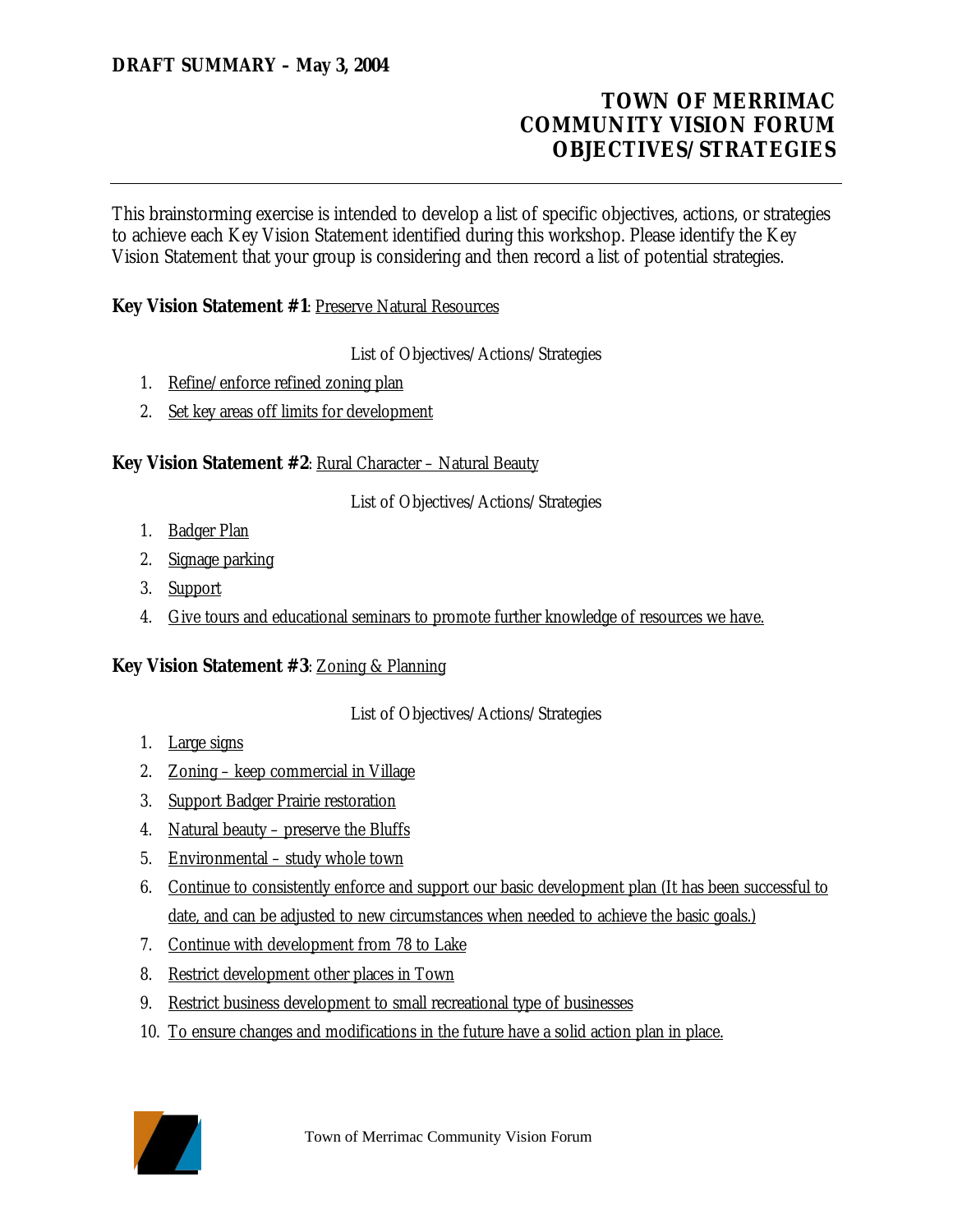# **TOWN OF MERRIMAC COMMUNITY VISION FORUM OBJECTIVES/STRATEGIES**

This brainstorming exercise is intended to develop a list of specific objectives, actions, or strategies to achieve each Key Vision Statement identified during this workshop. Please identify the Key Vision Statement that your group is considering and then record a list of potential strategies.

### **Key Vision Statement #1: Preserve Natural Resources**

List of Objectives/Actions/Strategies

- 1. Refine/enforce refined zoning plan
- 2. Set key areas off limits for development

#### **Key Vision Statement #2**: Rural Character – Natural Beauty

List of Objectives/Actions/Strategies

- 1. Badger Plan
- 2. Signage parking
- 3. Support
- 4. Give tours and educational seminars to promote further knowledge of resources we have.

#### **Key Vision Statement #3**: Zoning & Planning

List of Objectives/Actions/Strategies

- 1. Large signs
- 2. Zoning keep commercial in Village
- 3. Support Badger Prairie restoration
- 4. Natural beauty preserve the Bluffs
- 5. Environmental study whole town
- 6. Continue to consistently enforce and support our basic development plan (It has been successful to date, and can be adjusted to new circumstances when needed to achieve the basic goals.)
- 7. Continue with development from 78 to Lake
- 8. Restrict development other places in Town
- 9. Restrict business development to small recreational type of businesses
- 10. To ensure changes and modifications in the future have a solid action plan in place.

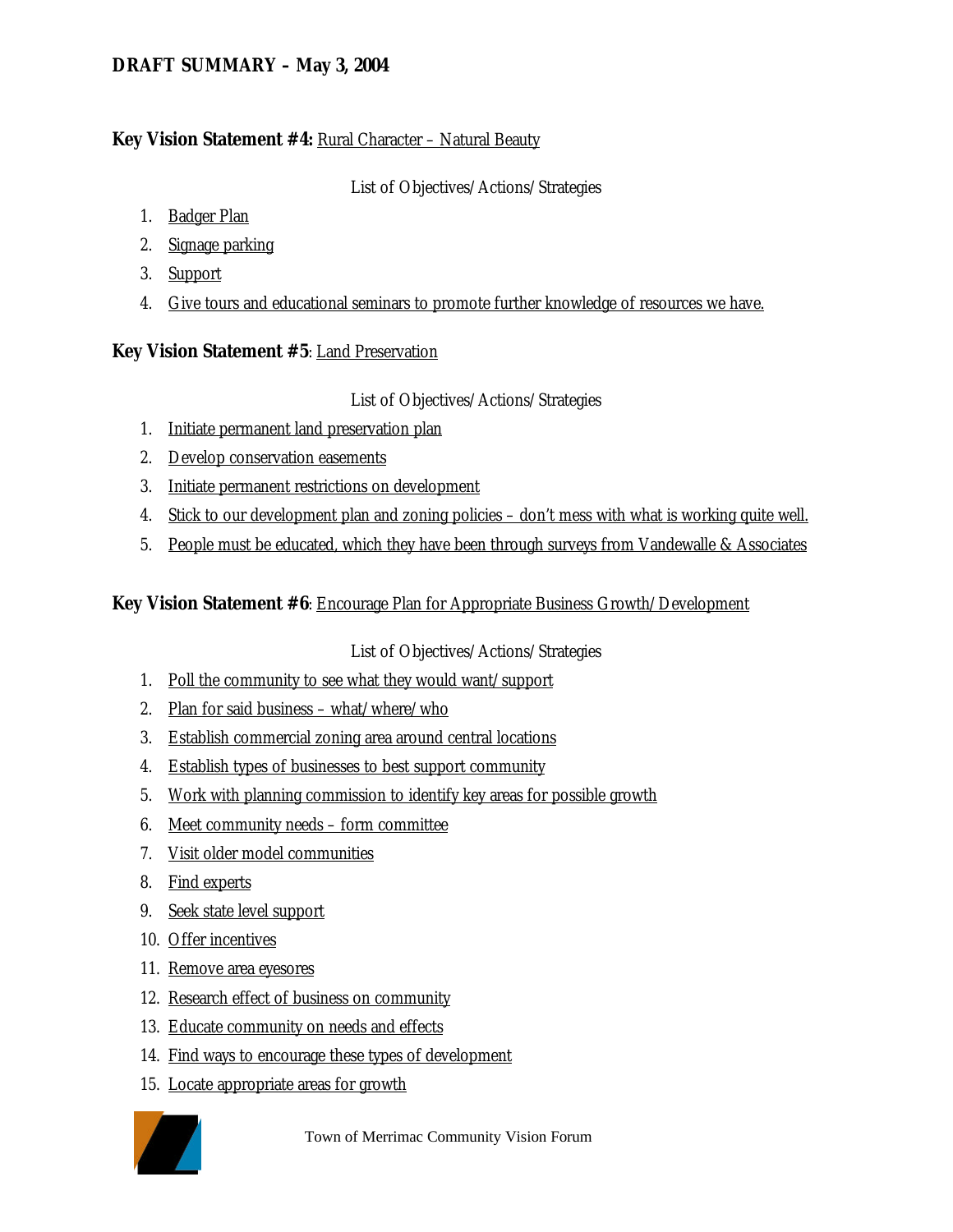### **DRAFT SUMMARY – May 3, 2004**

#### **Key Vision Statement #4: Rural Character – Natural Beauty**

List of Objectives/Actions/Strategies

- 1. Badger Plan
- 2. Signage parking
- 3. Support
- 4. Give tours and educational seminars to promote further knowledge of resources we have.

### **Key Vision Statement #5**: Land Preservation

### List of Objectives/Actions/Strategies

- 1. Initiate permanent land preservation plan
- 2. Develop conservation easements
- 3. Initiate permanent restrictions on development
- 4. Stick to our development plan and zoning policies don't mess with what is working quite well.
- 5. People must be educated, which they have been through surveys from Vandewalle & Associates

**Key Vision Statement #6**: Encourage Plan for Appropriate Business Growth/Development

List of Objectives/Actions/Strategies

- 1. Poll the community to see what they would want/support
- 2. Plan for said business what/where/who
- 3. Establish commercial zoning area around central locations
- 4. Establish types of businesses to best support community
- 5. Work with planning commission to identify key areas for possible growth
- 6. Meet community needs form committee
- 7. Visit older model communities
- 8. Find experts
- 9. Seek state level support
- 10. Offer incentives
- 11. Remove area eyesores
- 12. Research effect of business on community
- 13. Educate community on needs and effects
- 14. Find ways to encourage these types of development
- 15. Locate appropriate areas for growth